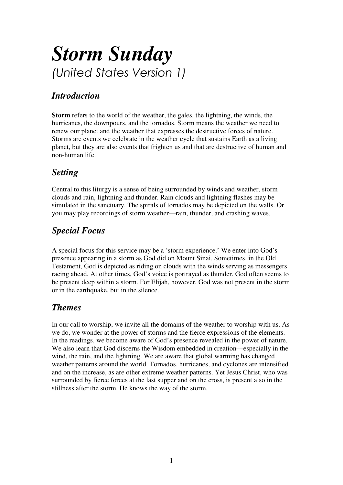## *Storm Sunday*  (United States Version 1)

## *Introduction*

**Storm** refers to the world of the weather, the gales, the lightning, the winds, the hurricanes, the downpours, and the tornados. Storm means the weather we need to renew our planet and the weather that expresses the destructive forces of nature. Storms are events we celebrate in the weather cycle that sustains Earth as a living planet, but they are also events that frighten us and that are destructive of human and non-human life.

## *Setting*

Central to this liturgy is a sense of being surrounded by winds and weather, storm clouds and rain, lightning and thunder. Rain clouds and lightning flashes may be simulated in the sanctuary. The spirals of tornados may be depicted on the walls. Or you may play recordings of storm weather—rain, thunder, and crashing waves.

## *Special Focus*

A special focus for this service may be a 'storm experience.' We enter into God's presence appearing in a storm as God did on Mount Sinai. Sometimes, in the Old Testament, God is depicted as riding on clouds with the winds serving as messengers racing ahead. At other times, God's voice is portrayed as thunder. God often seems to be present deep within a storm. For Elijah, however, God was not present in the storm or in the earthquake, but in the silence.

## *Themes*

In our call to worship, we invite all the domains of the weather to worship with us. As we do, we wonder at the power of storms and the fierce expressions of the elements. In the readings, we become aware of God's presence revealed in the power of nature. We also learn that God discerns the Wisdom embedded in creation—especially in the wind, the rain, and the lightning. We are aware that global warming has changed weather patterns around the world. Tornados, hurricanes, and cyclones are intensified and on the increase, as are other extreme weather patterns. Yet Jesus Christ, who was surrounded by fierce forces at the last supper and on the cross, is present also in the stillness after the storm. He knows the way of the storm.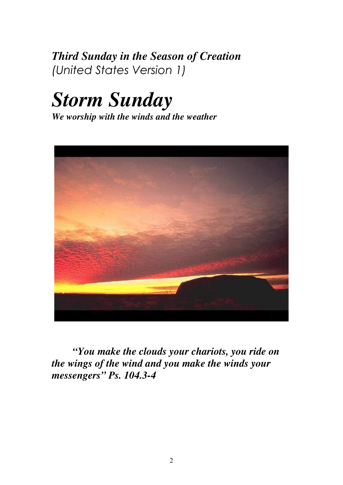*Third Sunday in the Season of Creation*  (United States Version 1)

# *Storm Sunday*

*We worship with the winds and the weather* 



*"You make the clouds your chariots, you ride on the wings of the wind and you make the winds your messengers" Ps. 104.3-4*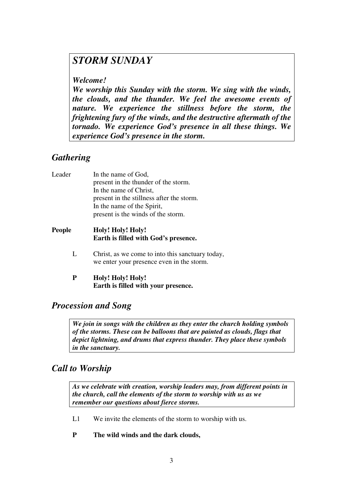## *STORM SUNDAY*

*Welcome!* 

*We worship this Sunday with the storm. We sing with the winds, the clouds, and the thunder. We feel the awesome events of nature. We experience the stillness before the storm, the frightening fury of the winds, and the destructive aftermath of the tornado. We experience God's presence in all these things. We experience God's presence in the storm.* 

## *Gathering*

| Leader        | In the name of God,                                                                           |
|---------------|-----------------------------------------------------------------------------------------------|
|               | present in the thunder of the storm.                                                          |
|               | In the name of Christ,                                                                        |
|               | present in the stillness after the storm.                                                     |
|               | In the name of the Spirit,                                                                    |
|               | present is the winds of the storm.                                                            |
| <b>People</b> | Holy! Holy! Holy!<br>Earth is filled with God's presence.                                     |
| L             | Christ, as we come to into this sanctuary today,<br>we enter your presence even in the storm. |
| P             | Holy! Holy! Holy!<br>Earth is filled with your presence.                                      |

## *Procession and Song*

*We join in songs with the children as they enter the church holding symbols of the storms. These can be balloons that are painted as clouds, flags that depict lightning, and drums that express thunder. They place these symbols in the sanctuary.* 

## *Call to Worship*

*As we celebrate with creation, worship leaders may, from different points in the church, call the elements of the storm to worship with us as we remember our questions about fierce storms.* 

- L1 We invite the elements of the storm to worship with us.
- **P The wild winds and the dark clouds,**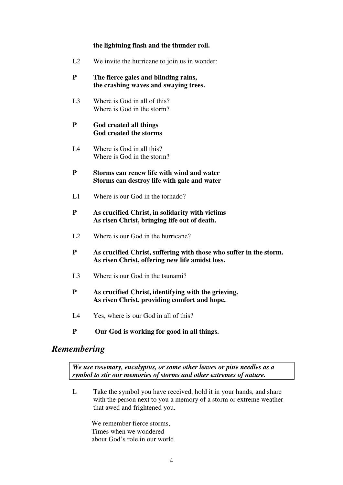#### **the lightning flash and the thunder roll.**

L2 We invite the hurricane to join us in wonder:

#### **P The fierce gales and blinding rains, the crashing waves and swaying trees.**

 L3 Where is God in all of this? Where is God in the storm?

#### **P God created all things God created the storms**

 L4 Where is God in all this? Where is God in the storm?

#### **P Storms can renew life with wind and water Storms can destroy life with gale and water**

L1 Where is our God in the tornado?

#### **P As crucified Christ, in solidarity with victims As risen Christ, bringing life out of death.**

- L<sub>2</sub> Where is our God in the hurricane?
- **P As crucified Christ, suffering with those who suffer in the storm. As risen Christ, offering new life amidst loss.**
- L3 Where is our God in the tsunami?
- **P As crucified Christ, identifying with the grieving. As risen Christ, providing comfort and hope.**
- L4 Yes, where is our God in all of this?
- **P Our God is working for good in all things.**

#### *Remembering*

*We use rosemary, eucalyptus, or some other leaves or pine needles as a symbol to stir our memories of storms and other extremes of nature.* 

L Take the symbol you have received, hold it in your hands, and share with the person next to you a memory of a storm or extreme weather that awed and frightened you.

 We remember fierce storms, Times when we wondered about God's role in our world.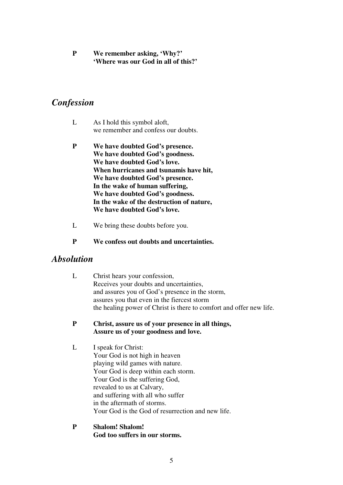**P We remember asking, 'Why?' 'Where was our God in all of this?'** 

#### *Confession*

- L As I hold this symbol aloft, we remember and confess our doubts.
- **P We have doubted God's presence. We have doubted God's goodness. We have doubted God's love. When hurricanes and tsunamis have hit, We have doubted God's presence. In the wake of human suffering, We have doubted God's goodness. In the wake of the destruction of nature, We have doubted God's love.**
- L We bring these doubts before you.
- **P We confess out doubts and uncertainties.**

#### *Absolution*

- L Christ hears your confession, Receives your doubts and uncertainties, and assures you of God's presence in the storm, assures you that even in the fiercest storm the healing power of Christ is there to comfort and offer new life.
- **P Christ, assure us of your presence in all things, Assure us of your goodness and love.**
- L I speak for Christ: Your God is not high in heaven playing wild games with nature. Your God is deep within each storm. Your God is the suffering God, revealed to us at Calvary, and suffering with all who suffer in the aftermath of storms. Your God is the God of resurrection and new life.
- **P Shalom! Shalom! God too suffers in our storms.**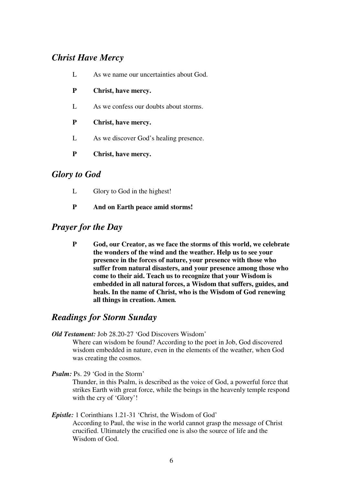## *Christ Have Mercy*

- L As we name our uncertainties about God.
- **P Christ, have mercy.**
- L As we confess our doubts about storms.
- **P Christ, have mercy.**
- L As we discover God's healing presence.
- **P Christ, have mercy.**

#### *Glory to God*

- L Glory to God in the highest!
- **P And on Earth peace amid storms!**

#### *Prayer for the Day*

**P God, our Creator, as we face the storms of this world, we celebrate the wonders of the wind and the weather. Help us to see your presence in the forces of nature, your presence with those who suffer from natural disasters, and your presence among those who come to their aid. Teach us to recognize that your Wisdom is embedded in all natural forces, a Wisdom that suffers, guides, and heals. In the name of Christ, who is the Wisdom of God renewing all things in creation. Amen***.*

#### *Readings for Storm Sunday*

*Old Testament:* Job 28.20-27 'God Discovers Wisdom'

Where can wisdom be found? According to the poet in Job, God discovered wisdom embedded in nature, even in the elements of the weather, when God was creating the cosmos.

- *Psalm:* Ps. 29 'God in the Storm' Thunder, in this Psalm, is described as the voice of God, a powerful force that strikes Earth with great force, while the beings in the heavenly temple respond with the cry of 'Glory'!
- *Epistle:* 1 Corinthians 1.21-31 'Christ, the Wisdom of God' According to Paul, the wise in the world cannot grasp the message of Christ crucified. Ultimately the crucified one is also the source of life and the Wisdom of God.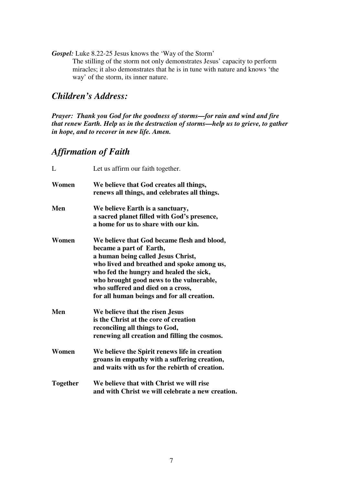*Gospel:* Luke 8.22-25 Jesus knows the 'Way of the Storm' The stilling of the storm not only demonstrates Jesus' capacity to perform miracles; it also demonstrates that he is in tune with nature and knows 'the way' of the storm, its inner nature.

## *Children's Address:*

*Prayer: Thank you God for the goodness of storms—for rain and wind and fire that renew Earth. Help us in the destruction of storms—help us to grieve, to gather in hope, and to recover in new life. Amen.* 

## *Affirmation of Faith*

| L               | Let us affirm our faith together.                                                                                                                                                                                                                                                                                                    |
|-----------------|--------------------------------------------------------------------------------------------------------------------------------------------------------------------------------------------------------------------------------------------------------------------------------------------------------------------------------------|
| Women           | We believe that God creates all things,<br>renews all things, and celebrates all things.                                                                                                                                                                                                                                             |
| Men             | We believe Earth is a sanctuary,<br>a sacred planet filled with God's presence,<br>a home for us to share with our kin.                                                                                                                                                                                                              |
| Women           | We believe that God became flesh and blood,<br>became a part of Earth,<br>a human being called Jesus Christ,<br>who lived and breathed and spoke among us,<br>who fed the hungry and healed the sick,<br>who brought good news to the vulnerable,<br>who suffered and died on a cross,<br>for all human beings and for all creation. |
| Men             | We believe that the risen Jesus<br>is the Christ at the core of creation<br>reconciling all things to God,<br>renewing all creation and filling the cosmos.                                                                                                                                                                          |
| Women           | We believe the Spirit renews life in creation<br>groans in empathy with a suffering creation,<br>and waits with us for the rebirth of creation.                                                                                                                                                                                      |
| <b>Together</b> | We believe that with Christ we will rise<br>and with Christ we will celebrate a new creation.                                                                                                                                                                                                                                        |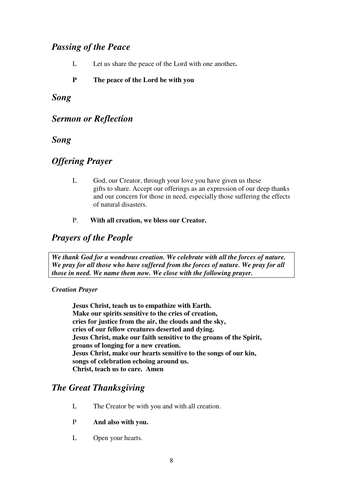## *Passing of the Peace*

L Let us share the peace of the Lord with one another**.** 

#### **P The peace of the Lord be with you**

#### *Song*

#### *Sermon or Reflection*

#### *Song*

## *Offering Prayer*

- L God, our Creator, through your love you have given us these gifts to share. Accept our offerings as an expression of our deep thanks and our concern for those in need, especially those suffering the effects of natural disasters.
- P. **With all creation, we bless our Creator.**

## *Prayers of the People*

*We thank God for a wondrous creation. We celebrate with all the forces of nature. We pray for all those who have suffered from the forces of nature. We pray for all those in need. We name them now. We close with the following prayer.* 

#### *Creation Prayer*

**Jesus Christ, teach us to empathize with Earth. Make our spirits sensitive to the cries of creation, cries for justice from the air, the clouds and the sky, cries of our fellow creatures deserted and dying. Jesus Christ, make our faith sensitive to the groans of the Spirit, groans of longing for a new creation. Jesus Christ, make our hearts sensitive to the songs of our kin, songs of celebration echoing around us. Christ, teach us to care. Amen** 

## *The Great Thanksgiving*

- L The Creator be with you and with all creation.
- P **And also with you.**
- L Open your hearts.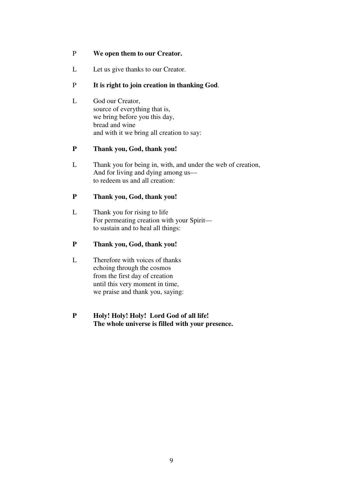#### P **We open them to our Creator.**

L Let us give thanks to our Creator.

#### P **It is right to join creation in thanking God**.

 L God our Creator, source of everything that is, we bring before you this day, bread and wine and with it we bring all creation to say:

#### **P Thank you, God, thank you!**

 L Thank you for being in, with, and under the web of creation, And for living and dying among us to redeem us and all creation:

#### **P Thank you, God, thank you!**

 L Thank you for rising to life For permeating creation with your Spirit to sustain and to heal all things:

#### **P Thank you, God, thank you!**

 L Therefore with voices of thanks echoing through the cosmos from the first day of creation until this very moment in time, we praise and thank you, saying:

#### **P Holy! Holy! Holy! Lord God of all life! The whole universe is filled with your presence.**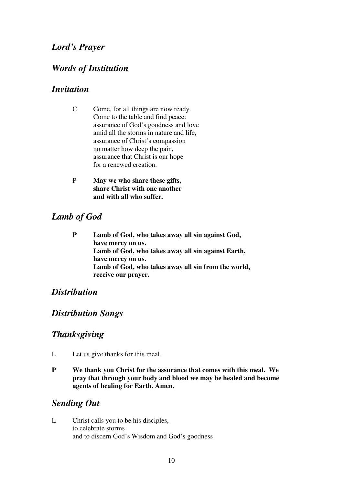## *Lord's Prayer*

## *Words of Institution*

#### *Invitation*

- C Come, for all things are now ready. Come to the table and find peace: assurance of God's goodness and love amid all the storms in nature and life, assurance of Christ's compassion no matter how deep the pain, assurance that Christ is our hope for a renewed creation.
- P **May we who share these gifts, share Christ with one another and with all who suffer.**

## *Lamb of God*

**P Lamb of God, who takes away all sin against God, have mercy on us. Lamb of God, who takes away all sin against Earth, have mercy on us. Lamb of God, who takes away all sin from the world, receive our prayer.** 

## *Distribution*

## *Distribution Songs*

## *Thanksgiving*

- L Let us give thanks for this meal.
- **P We thank you Christ for the assurance that comes with this meal. We pray that through your body and blood we may be healed and become agents of healing for Earth. Amen.**

## *Sending Out*

L Christ calls you to be his disciples, to celebrate storms and to discern God's Wisdom and God's goodness